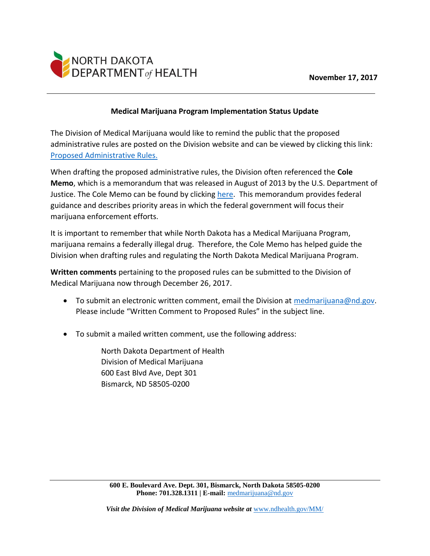

## **Medical Marijuana Program Implementation Status Update**

The Division of Medical Marijuana would like to remind the public that the proposed administrative rules are posted on the Division website and can be viewed by clicking this link: [Proposed Administrative Rules.](https://www.ndhealth.gov/MM/PDF/33-44-01_PROPOSED_Medical_Marijuana_Administrative_Rules.pdf)

When drafting the proposed administrative rules, the Division often referenced the **Cole Memo**, which is a memorandum that was released in August of 2013 by the U.S. Department of Justice. The Cole Memo can be found by clicking [here.](https://www.ndhealth.gov/mm/PDF/Cole_Memo.pdf) This memorandum provides federal guidance and describes priority areas in which the federal government will focus their marijuana enforcement efforts.

It is important to remember that while North Dakota has a Medical Marijuana Program, marijuana remains a federally illegal drug. Therefore, the Cole Memo has helped guide the Division when drafting rules and regulating the North Dakota Medical Marijuana Program.

**Written comments** pertaining to the proposed rules can be submitted to the Division of Medical Marijuana now through December 26, 2017.

- To submit an electronic written comment, email the Division at [medmarijuana@nd.gov.](mailto:medmarijuana@nd.gov) Please include "Written Comment to Proposed Rules" in the subject line.
- To submit a mailed written comment, use the following address:

North Dakota Department of Health Division of Medical Marijuana 600 East Blvd Ave, Dept 301 Bismarck, ND 58505-0200